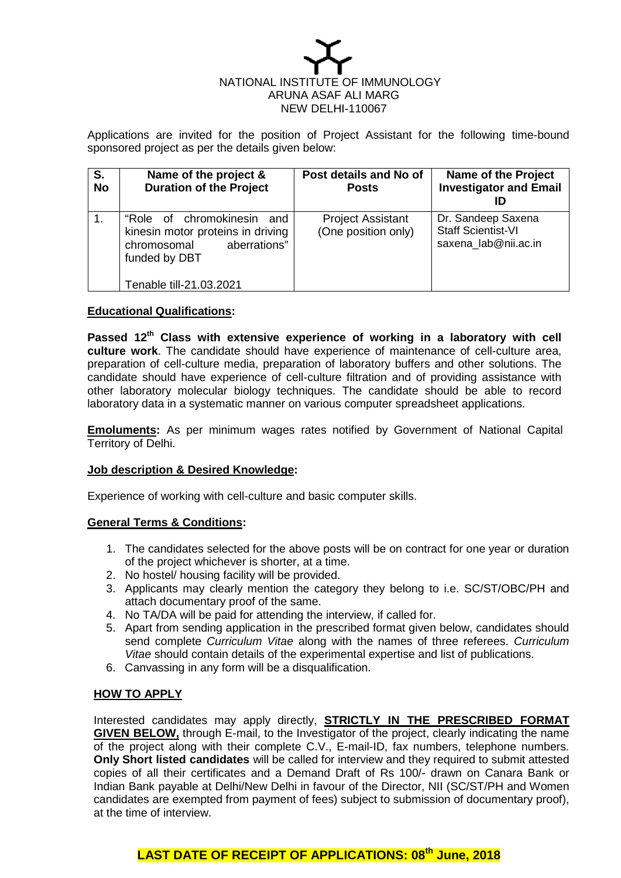

Applications are invited for the position of Project Assistant for the following time-bound sponsored project as per the details given below:

| S.        | Name of the project &                                                                                                                         | Post details and No of                          | <b>Name of the Project</b>                                              |
|-----------|-----------------------------------------------------------------------------------------------------------------------------------------------|-------------------------------------------------|-------------------------------------------------------------------------|
| <b>No</b> | <b>Duration of the Project</b>                                                                                                                | <b>Posts</b>                                    | <b>Investigator and Email</b>                                           |
|           | "Role of chromokinesin<br>and<br>kinesin motor proteins in driving<br>aberrations"<br>chromosomal<br>funded by DBT<br>Tenable till-21.03.2021 | <b>Project Assistant</b><br>(One position only) | Dr. Sandeep Saxena<br><b>Staff Scientist-VI</b><br>saxena lab@nii.ac.in |

### **Educational Qualifications:**

Passed 12<sup>th</sup> Class with extensive experience of working in a laboratory with cell **culture work**. The candidate should have experience of maintenance of cell-culture area, preparation of cell-culture media, preparation of laboratory buffers and other solutions. The candidate should have experience of cell-culture filtration and of providing assistance with other laboratory molecular biology techniques. The candidate should be able to record laboratory data in a systematic manner on various computer spreadsheet applications.

**Emoluments:** As per minimum wages rates notified by Government of National Capital Territory of Delhi.

#### **Job description & Desired Knowledge:**

Experience of working with cell-culture and basic computer skills.

#### **General Terms & Conditions:**

- 1. The candidates selected for the above posts will be on contract for one year or duration of the project whichever is shorter, at a time.
- 2. No hostel/ housing facility will be provided.
- 3. Applicants may clearly mention the category they belong to i.e. SC/ST/OBC/PH and attach documentary proof of the same.
- 4. No TA/DA will be paid for attending the interview, if called for.
- 5. Apart from sending application in the prescribed format given below, candidates should send complete *Curriculum Vitae* along with the names of three referees. *Curriculum Vitae* should contain details of the experimental expertise and list of publications.
- 6. Canvassing in any form will be a disqualification.

#### **HOW TO APPLY**

Interested candidates may apply directly, **STRICTLY IN THE PRESCRIBED FORMAT GIVEN BELOW,** through E-mail, to the Investigator of the project, clearly indicating the name of the project along with their complete C.V., E-mail-ID, fax numbers, telephone numbers. **Only Short listed candidates** will be called for interview and they required to submit attested copies of all their certificates and a Demand Draft of Rs 100/- drawn on Canara Bank or Indian Bank payable at Delhi/New Delhi in favour of the Director, NII (SC/ST/PH and Women candidates are exempted from payment of fees) subject to submission of documentary proof), at the time of interview.

## **LAST DATE OF RECEIPT OF APPLICATIONS: 08th June, 2018**